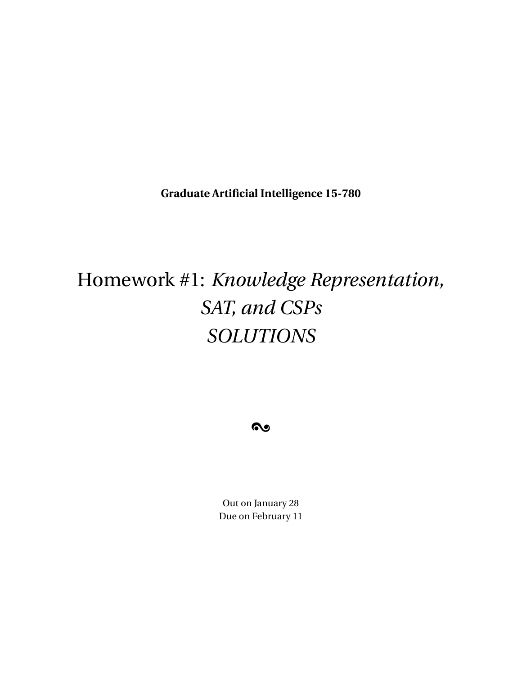**Graduate Artificial Intelligence 15-780**

# Homework #1: *Knowledge Representation, SAT, and CSPs SOLUTIONS*

 $\boldsymbol{\infty}$ 

Out on January 28 Due on February 11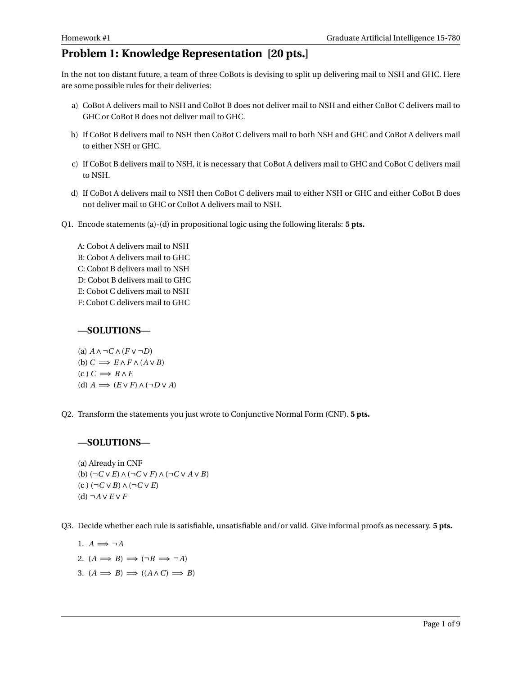# **Problem 1: Knowledge Representation [20 pts.]**

In the not too distant future, a team of three CoBots is devising to split up delivering mail to NSH and GHC. Here are some possible rules for their deliveries:

- a) CoBot A delivers mail to NSH and CoBot B does not deliver mail to NSH and either CoBot C delivers mail to GHC or CoBot B does not deliver mail to GHC.
- b) If CoBot B delivers mail to NSH then CoBot C delivers mail to both NSH and GHC and CoBot A delivers mail to either NSH or GHC.
- c) If CoBot B delivers mail to NSH, it is necessary that CoBot A delivers mail to GHC and CoBot C delivers mail to NSH.
- d) If CoBot A delivers mail to NSH then CoBot C delivers mail to either NSH or GHC and either CoBot B does not deliver mail to GHC or CoBot A delivers mail to NSH.
- Q1. Encode statements (a)-(d) in propositional logic using the following literals: **5 pts.**

A: Cobot A delivers mail to NSH B: Cobot A delivers mail to GHC C: Cobot B delivers mail to NSH D: Cobot B delivers mail to GHC E: Cobot C delivers mail to NSH F: Cobot C delivers mail to GHC

## **—SOLUTIONS—**

(a) 
$$
A \land \neg C \land (F \lor \neg D)
$$
  
\n(b)  $C \implies E \land F \land (A \lor B)$   
\n(c)  $C \implies B \land E$   
\n(d)  $A \implies (E \lor F) \land (\neg D \lor A)$ 

Q2. Transform the statements you just wrote to Conjunctive Normal Form (CNF). **5 pts.**

#### **—SOLUTIONS—**

(a) Already in CNF (b) (¬*C* ∨*E*)∧(¬*C* ∨*F*)∧(¬*C* ∨ *A* ∨*B*) (c ) (¬*C* ∨*B*)∧(¬*C* ∨*E*) (d) ¬*A* ∨*E* ∨*F*

Q3. Decide whether each rule is satisfiable, unsatisfiable and/or valid. Give informal proofs as necessary. **5 pts.**

1.  $A \implies \neg A$ 2.  $(A \implies B) \implies (\neg B \implies \neg A)$ 3.  $(A \implies B) \implies ((A \land C) \implies B)$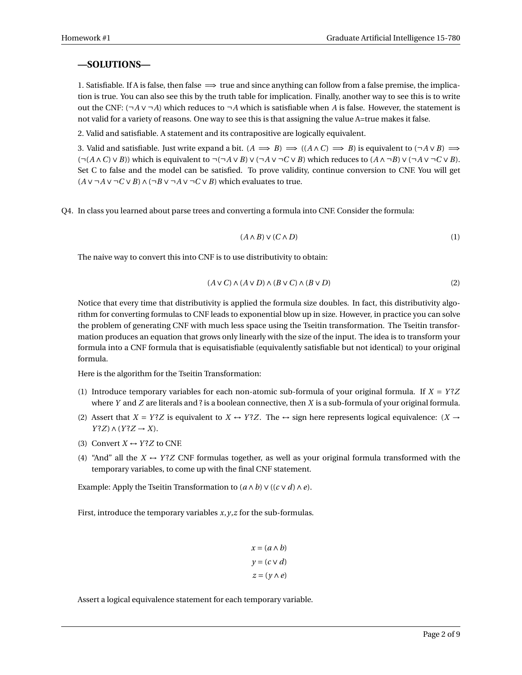#### **—SOLUTIONS—**

1. Satisfiable. If A is false, then false  $\implies$  true and since anything can follow from a false premise, the implication is true. You can also see this by the truth table for implication. Finally, another way to see this is to write out the CNF: (¬*A* ∨ ¬*A*) which reduces to ¬*A* which is satisfiable when *A* is false. However, the statement is not valid for a variety of reasons. One way to see this is that assigning the value A=true makes it false.

2. Valid and satisfiable. A statement and its contrapositive are logically equivalent.

3. Valid and satisfiable. Just write expand a bit.  $(A \implies B) \implies ((A \land C) \implies B)$  is equivalent to  $(\neg A \lor B) \implies$ (¬(*A* ∧*C*)∨*B*)) which is equivalent to ¬(¬*A* ∨*B*)∨(¬*A* ∨ ¬*C* ∨*B*) which reduces to (*A* ∧ ¬*B*)∨(¬*A* ∨ ¬*C* ∨*B*). Set C to false and the model can be satisfied. To prove validity, continue conversion to CNF. You will get  $(A \vee \neg A \vee \neg C \vee B) \wedge (\neg B \vee \neg A \vee \neg C \vee B)$  which evaluates to true.

Q4. In class you learned about parse trees and converting a formula into CNF. Consider the formula:

$$
(A \wedge B) \vee (C \wedge D) \tag{1}
$$

The naive way to convert this into CNF is to use distributivity to obtain:

$$
(A \lor C) \land (A \lor D) \land (B \lor C) \land (B \lor D)
$$
\n<sup>(2)</sup>

Notice that every time that distributivity is applied the formula size doubles. In fact, this distributivity algorithm for converting formulas to CNF leads to exponential blow up in size. However, in practice you can solve the problem of generating CNF with much less space using the Tseitin transformation. The Tseitin transformation produces an equation that grows only linearly with the size of the input. The idea is to transform your formula into a CNF formula that is equisatisfiable (equivalently satisfiable but not identical) to your original formula.

Here is the algorithm for the Tseitin Transformation:

- (1) Introduce temporary variables for each non-atomic sub-formula of your original formula. If  $X = YZ$ where *Y* and *Z* are literals and ? is a boolean connective, then *X* is a sub-formula of your original formula.
- (2) Assert that  $X = Y^2Z$  is equivalent to  $X \leftrightarrow Y^2Z$ . The  $\leftrightarrow$  sign here represents logical equivalence:  $(X \rightarrow$ *Y* ?*Z*) ∧ (*Y* ?*Z* → *X*).
- (3) Convert  $X \leftrightarrow Y$ ? *Z* to CNF.
- (4) "And" all the  $X \leftrightarrow Y^2Z$  CNF formulas together, as well as your original formula transformed with the temporary variables, to come up with the final CNF statement.

Example: Apply the Tseitin Transformation to  $(a \land b) \lor ((c \lor d) \land e)$ .

First, introduce the temporary variables *x*,*y*,*z* for the sub-formulas.

$$
x = (a \land b)
$$

$$
y = (c \lor d)
$$

$$
z = (y \land e)
$$

Assert a logical equivalence statement for each temporary variable.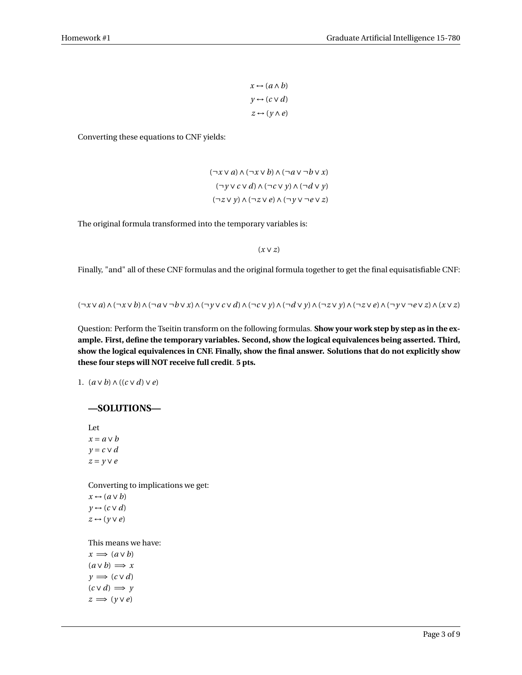$x \leftrightarrow (a \land b)$  $y \leftrightarrow (c \vee d)$ *z* ↔ (*y* ∧*e*)

Converting these equations to CNF yields:

(¬*x* ∨ *a*)∧(¬*x* ∨*b*)∧(¬*a* ∨ ¬*b* ∨ *x*) (¬*y* ∨*c* ∨*d*)∧(¬*c* ∨ *y*)∧(¬*d* ∨ *y*) (¬*z* ∨ *y*)∧(¬*z* ∨*e*)∧(¬*y* ∨ ¬*e* ∨ *z*)

The original formula transformed into the temporary variables is:

(*x* ∨ *z*)

Finally, "and" all of these CNF formulas and the original formula together to get the final equisatisfiable CNF:

 $(\neg x \lor a) \land (\neg x \lor b) \land (\neg a \lor \neg b \lor x) \land (\neg y \lor c \lor d) \land (\neg c \lor y) \land (\neg d \lor y) \land (\neg z \lor y) \land (\neg z \lor e) \land (\neg y \lor \neg e \lor z) \land (x \lor z)$ 

Question: Perform the Tseitin transform on the following formulas. **Show your work step by step as in the example. First, define the temporary variables. Second, show the logical equivalences being asserted. Third, show the logical equivalences in CNF. Finally, show the final answer. Solutions that do not explicitly show these four steps will NOT receive full credit**. **5 pts.**

1. (*a* ∨*b*)∧((*c* ∨*d*)∨*e*)

#### **—SOLUTIONS—**

Let *x* = *a* ∨*b y* = *c* ∨ *d* 

*z* = *y* ∨*e*

Converting to implications we get:

 $x \leftrightarrow (a \vee b)$  $y \leftrightarrow (c \vee d)$ *z* ↔ (*y* ∨*e*)

This means we have:

 $x \implies (a \vee b)$  $(a \vee b) \implies x$  $y \implies (c \vee d)$  $(c \vee d) \implies y$  $z \implies (y \vee e)$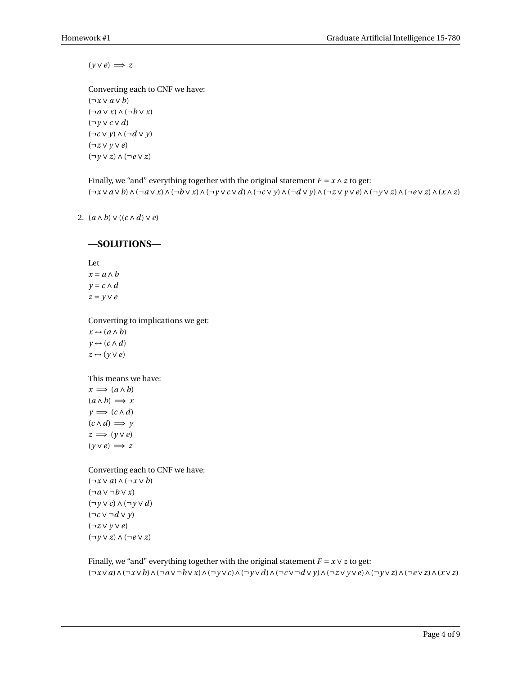$(y \vee e) \implies z$ 

Converting each to CNF we have: (¬*x* ∨ *a* ∨*b*) (¬*a* ∨ *x*)∧(¬*b* ∨ *x*) (¬*y* ∨*c* ∨*d*) (¬*c* ∨ *y*)∧(¬*d* ∨ *y*) (¬*z* ∨ *y* ∨*e*) (¬*y* ∨ *z*)∧(¬*e* ∨ *z*)

Finally, we "and" everything together with the original statement  $F = x \land z$  to get:  $(\neg x \vee a \vee b) \wedge (\neg a \vee x) \wedge (\neg b \vee x) \wedge (\neg y \vee c \vee d) \wedge (\neg c \vee y) \wedge (\neg d \vee y) \wedge (\neg z \vee y \vee e) \wedge (\neg y \vee z) \wedge (\neg e \vee z) \wedge (x \wedge z)$ 

2. (*a* ∧*b*)∨((*c* ∧*d*)∨*e*)

# **—SOLUTIONS—**

Let *x* = *a* ∧*b y* = *c* ∧*d z* = *y* ∨*e*

Converting to implications we get:

 $x \leftrightarrow (a \land b)$  $y \leftrightarrow (c \land d)$ *z* ↔ (*y* ∨*e*)

This means we have:

 $x \implies (a \land b)$  $(a \land b) \implies x$  $y \implies (c \land d)$  $(c \wedge d) \implies y$  $z \implies (y \vee e)$  $(y \vee e) \implies z$ 

Converting each to CNF we have:

(¬*x* ∨ *a*)∧(¬*x* ∨*b*) (¬*a* ∨ ¬*b* ∨ *x*) (¬*y* ∨*c*)∧(¬*y* ∨*d*) (¬*c* ∨ ¬*d* ∨ *y*) (¬*z* ∨ *y* ∨*e*) (¬*y* ∨ *z*)∧(¬*e* ∨ *z*)

Finally, we "and" everything together with the original statement  $F = x \vee z$  to get:  $(\neg x \lor a) \land (\neg x \lor b) \land (\neg a \lor \neg b \lor x) \land (\neg y \lor c) \land (\neg y \lor d) \land (\neg c \lor \neg d \lor y) \land (\neg z \lor y \lor e) \land (\neg y \lor z) \land (\neg e \lor z) \land (x \lor z)$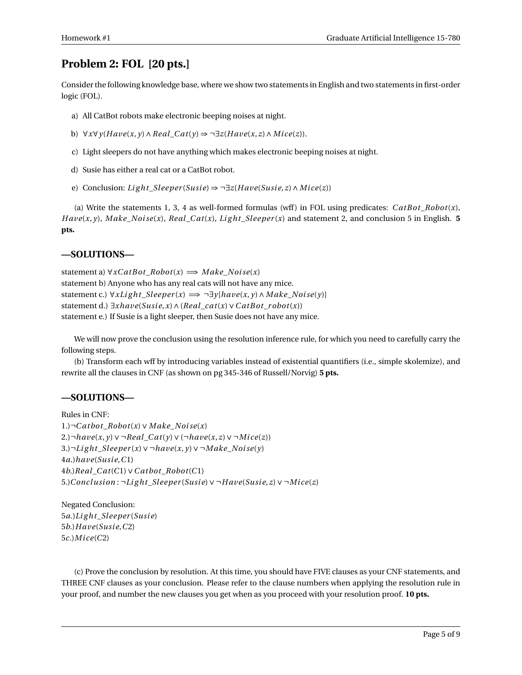# **Problem 2: FOL [20 pts.]**

Consider the following knowledge base, where we show two statements in English and two statements in first-order logic (FOL).

- a) All CatBot robots make electronic beeping noises at night.
- b)  $∀x∀y(Have(x, y) ∧ Real_C{at(y) ⇒ ¬∃z(Have(x, z) ∧ Mice(z))}.$
- c) Light sleepers do not have anything which makes electronic beeping noises at night.
- d) Susie has either a real cat or a CatBot robot.
- e) Conclusion: *Light\_Sleeper*(*Susie*)  $\Rightarrow \neg \exists z (Have(Susie, z) \land Mice(z))$

(a) Write the statements 1, 3, 4 as well-formed formulas (wff) in FOL using predicates:  $CatBot_Robot(x)$ ,  $Have(x, y)$ ,  $Make\_Noise(x)$ ,  $Real\_Cat(x)$ ,  $Light\_sleeper(x)$  and statement 2, and conclusion 5 in English. **5 pts.**

## **—SOLUTIONS—**

statement a) ∀*xC atB ot*\_*Robot*(*x*) =⇒ *M ake*\_*Noi se*(*x*) statement b) Anyone who has any real cats will not have any mice. statement c.)  $\forall$ *xLight\_Sleeper*(*x*)  $\implies \neg \exists$ *y*[*have*(*x*, *y*) ∧ *Make\_Noise*(*y*)] statement d.) ∃*xhave*(*Susi e*,*x*)∧(*Real*\_*cat*(*x*)∨*C atB ot*\_*r obot*(*x*)) statement e.) If Susie is a light sleeper, then Susie does not have any mice.

We will now prove the conclusion using the resolution inference rule, for which you need to carefully carry the following steps.

(b) Transform each wff by introducing variables instead of existential quantifiers (i.e., simple skolemize), and rewrite all the clauses in CNF (as shown on pg 345-346 of Russell/Norvig) **5 pts.**

## **—SOLUTIONS—**

```
Rules in CNF:
1.)¬C atbot_Robot(x)∨ M ake_Noi se(x)
2.)\neg have(x, y) \lor \neg Real\_Cat(y) \lor (\neg have(x, z) \lor \neg Mice(z))3.)¬Li g ht_Sleeper (x)∨ ¬have(x, y)∨ ¬M ake_Noi se(y)
4a.)have(Susi e,C1)
4b.)Real_C at(C1)∨C atbot_Robot(C1)
5.)Conc lusi on : ¬Li g ht_Sleeper (Susi e)∨ ¬H ave(Susi e, z)∨ ¬M i ce(z)
```
Negated Conclusion: *a*.)*Li g ht*\_*Sleeper* (*Susi e*) *b*.)*H ave*(*Susi e*,*C*2) *c*.)*M i ce*(*C*2)

(c) Prove the conclusion by resolution. At this time, you should have FIVE clauses as your CNF statements, and THREE CNF clauses as your conclusion. Please refer to the clause numbers when applying the resolution rule in your proof, and number the new clauses you get when as you proceed with your resolution proof. **10 pts.**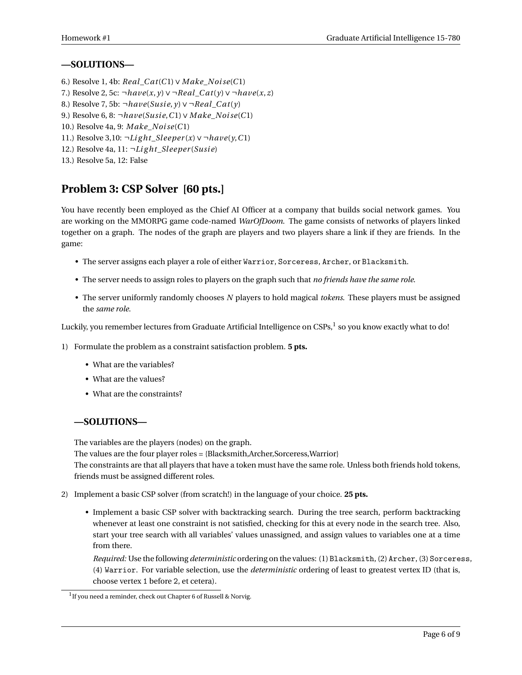## **—SOLUTIONS—**

- 6.) Resolve 1, 4b: *Real*\_*C at*(*C*1)∨ *M ake*\_*Noi se*(*C*1)
- 7.) Resolve 2, 5c: ¬*have*(*x*, *y*)∨ ¬*Real*\_*C at*(*y*)∨ ¬*have*(*x*, *z*)
- 8.) Resolve 7, 5b:  $\neg have(Susie, \gamma) \vee \neg Real\_Cat(\gamma)$
- 9.) Resolve 6, 8: ¬*have*(*Susi e*,*C*1)∨ *M ake*\_*Noi se*(*C*1)
- 10.) Resolve 4a, 9: *M ake*\_*Noi se*(*C*1)
- 11.) Resolve 3,10: ¬*Li g ht*\_*Sleeper* (*x*)∨ ¬*have*(*y*,*C*1)
- 12.) Resolve 4a, 11:  $\neg Light\_Sleeper(Susie)$
- 13.) Resolve 5a, 12: False

# **Problem 3: CSP Solver [60 pts.]**

You have recently been employed as the Chief AI Officer at a company that builds social network games. You are working on the MMORPG game code-named *WarOfDoom*. The game consists of networks of players linked together on a graph. The nodes of the graph are players and two players share a link if they are friends. In the game:

- The server assigns each player a role of either Warrior, Sorceress, Archer, or Blacksmith.
- The server needs to assign roles to players on the graph such that *no friends have the same role*.
- The server uniformly randomly chooses *N* players to hold magical *tokens*. These players must be assigned the *same role*.

Luckily, you remember lectures from Graduate Artificial Intelligence on CSPs, $^1$  so you know exactly what to do!

- 1) Formulate the problem as a constraint satisfaction problem. **5 pts.**
	- What are the variables?
	- What are the values?
	- What are the constraints?

# **—SOLUTIONS—**

The variables are the players (nodes) on the graph.

The values are the four player roles = {Blacksmith,Archer,Sorceress,Warrior}

The constraints are that all players that have a token must have the same role. Unless both friends hold tokens, friends must be assigned different roles.

- 2) Implement a basic CSP solver (from scratch!) in the language of your choice. **25 pts.**
	- Implement a basic CSP solver with backtracking search. During the tree search, perform backtracking whenever at least one constraint is not satisfied, checking for this at every node in the search tree. Also, start your tree search with all variables' values unassigned, and assign values to variables one at a time from there.

*Required:* Use the following *deterministic* ordering on the values: (1) Blacksmith, (2) Archer, (3) Sorceress, (4) Warrior. For variable selection, use the *deterministic* ordering of least to greatest vertex ID (that is, choose vertex 1 before 2, et cetera).

<sup>&</sup>lt;sup>1</sup> If you need a reminder, check out Chapter 6 of Russell & Norvig.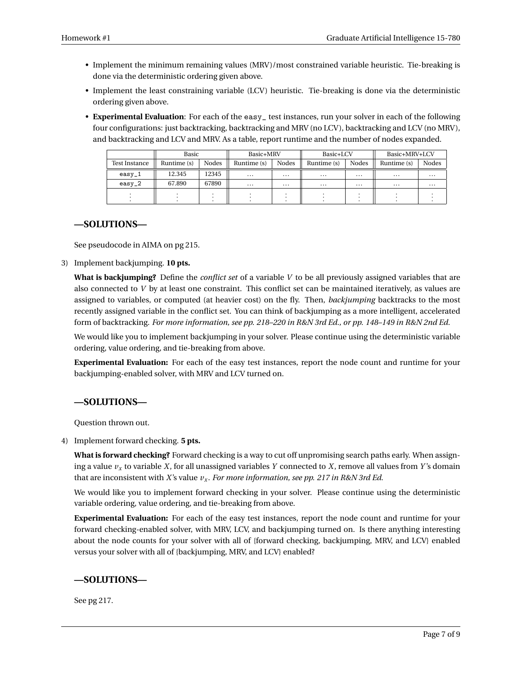- Implement the minimum remaining values (MRV)/most constrained variable heuristic. Tie-breaking is done via the deterministic ordering given above.
- Implement the least constraining variable (LCV) heuristic. Tie-breaking is done via the deterministic ordering given above.
- **Experimental Evaluation**: For each of the easy\_ test instances, run your solver in each of the following four configurations: just backtracking, backtracking and MRV (no LCV), backtracking and LCV (no MRV), and backtracking and LCV and MRV. As a table, report runtime and the number of nodes expanded.

|               | Basic       |              | Basic+MRV   |          | Basic+LCV   |              | Basic+MRV+LCV |          |
|---------------|-------------|--------------|-------------|----------|-------------|--------------|---------------|----------|
| Test Instance | Runtime (s) | <b>Nodes</b> | Runtime (s) | Nodes    | Runtime (s) | <b>Nodes</b> | Runtime (s)   | Nodes    |
| $easy_1$      | 12.345      | 12345        | $\cdots$    | $\cdots$ | $\cdots$    | $\cdots$     | $\cdots$      | $\cdots$ |
| $easy_2$      | 67.890      | 67890        | $\cdots$    | $\cdots$ | $\cdots$    | $\cdots$     | $\cdots$      | $\cdots$ |
|               |             |              |             |          |             |              |               |          |

#### **—SOLUTIONS—**

See pseudocode in AIMA on pg 215.

3) Implement backjumping. **10 pts.**

**What is backjumping?** Define the *conflict set* of a variable *V* to be all previously assigned variables that are also connected to *V* by at least one constraint. This conflict set can be maintained iteratively, as values are assigned to variables, or computed (at heavier cost) on the fly. Then, *backjumping* backtracks to the most recently assigned variable in the conflict set. You can think of backjumping as a more intelligent, accelerated form of backtracking. *For more information, see pp. 218–220 in R&N 3rd Ed., or pp. 148–149 in R&N 2nd Ed.*

We would like you to implement backjumping in your solver. Please continue using the deterministic variable ordering, value ordering, and tie-breaking from above.

**Experimental Evaluation:** For each of the easy test instances, report the node count and runtime for your backjumping-enabled solver, with MRV and LCV turned on.

#### **—SOLUTIONS—**

Question thrown out.

4) Implement forward checking. **5 pts.**

**What is forward checking?** Forward checking is a way to cut off unpromising search paths early. When assigning a value  $v_x$  to variable *X*, for all unassigned variables *Y* connected to *X*, remove all values from *Y*'s domain that are inconsistent with *X*'s value *v<sup>x</sup>* . *For more information, see pp. 217 in R&N 3rd Ed.*

We would like you to implement forward checking in your solver. Please continue using the deterministic variable ordering, value ordering, and tie-breaking from above.

**Experimental Evaluation:** For each of the easy test instances, report the node count and runtime for your forward checking-enabled solver, with MRV, LCV, and backjumping turned on. Is there anything interesting about the node counts for your solver with all of {forward checking, backjumping, MRV, and LCV} enabled versus your solver with all of {backjumping, MRV, and LCV} enabled?

## **—SOLUTIONS—**

See pg 217.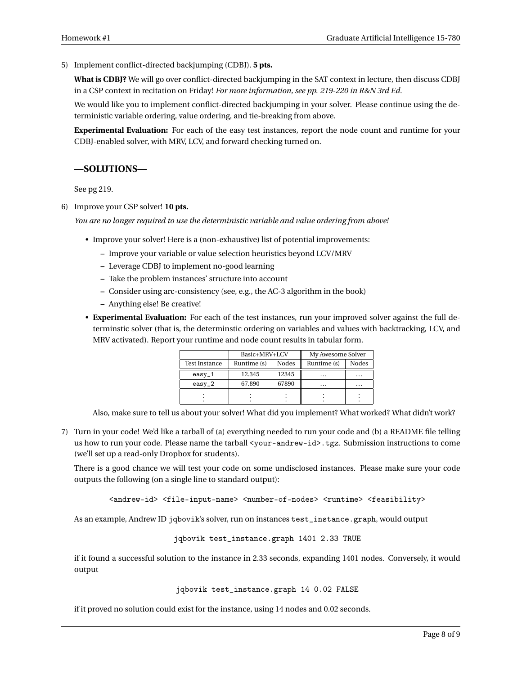5) Implement conflict-directed backjumping (CDBJ). **5 pts.**

**What is CDBJ?** We will go over conflict-directed backjumping in the SAT context in lecture, then discuss CDBJ in a CSP context in recitation on Friday! *For more information, see pp. 219-220 in R&N 3rd Ed.*

We would like you to implement conflict-directed backjumping in your solver. Please continue using the deterministic variable ordering, value ordering, and tie-breaking from above.

**Experimental Evaluation:** For each of the easy test instances, report the node count and runtime for your CDBJ-enabled solver, with MRV, LCV, and forward checking turned on.

#### **—SOLUTIONS—**

See pg 219.

6) Improve your CSP solver! **10 pts.**

*You are no longer required to use the deterministic variable and value ordering from above!*

- Improve your solver! Here is a (non-exhaustive) list of potential improvements:
	- **–** Improve your variable or value selection heuristics beyond LCV/MRV
	- **–** Leverage CDBJ to implement no-good learning
	- **–** Take the problem instances' structure into account
	- **–** Consider using arc-consistency (see, e.g., the AC-3 algorithm in the book)
	- **–** Anything else! Be creative!
- **Experimental Evaluation:** For each of the test instances, run your improved solver against the full determinstic solver (that is, the determinstic ordering on variables and values with backtracking, LCV, and MRV activated). Report your runtime and node count results in tabular form.

|                      | Basic+MRV+LCV |       | My Awesome Solver |       |  |
|----------------------|---------------|-------|-------------------|-------|--|
| <b>Test Instance</b> | Runtime (s)   | Nodes | Runtime (s)       | Nodes |  |
| easy_1               | 12.345        | 12345 | .                 | .     |  |
| $easy_2$             | 67.890        | 67890 | .                 | .     |  |
|                      |               |       |                   |       |  |
|                      |               |       |                   |       |  |

Also, make sure to tell us about your solver! What did you implement? What worked? What didn't work?

7) Turn in your code! We'd like a tarball of (a) everything needed to run your code and (b) a README file telling us how to run your code. Please name the tarball <your-andrew-id>.tgz. Submission instructions to come (we'll set up a read-only Dropbox for students).

There is a good chance we will test your code on some undisclosed instances. Please make sure your code outputs the following (on a single line to standard output):

<andrew-id> <file-input-name> <number-of-nodes> <runtime> <feasibility>

As an example, Andrew ID jqbovik's solver, run on instances test\_instance.graph, would output

jqbovik test\_instance.graph 1401 2.33 TRUE

if it found a successful solution to the instance in 2.33 seconds, expanding 1401 nodes. Conversely, it would output

jqbovik test\_instance.graph 14 0.02 FALSE

if it proved no solution could exist for the instance, using 14 nodes and 0.02 seconds.